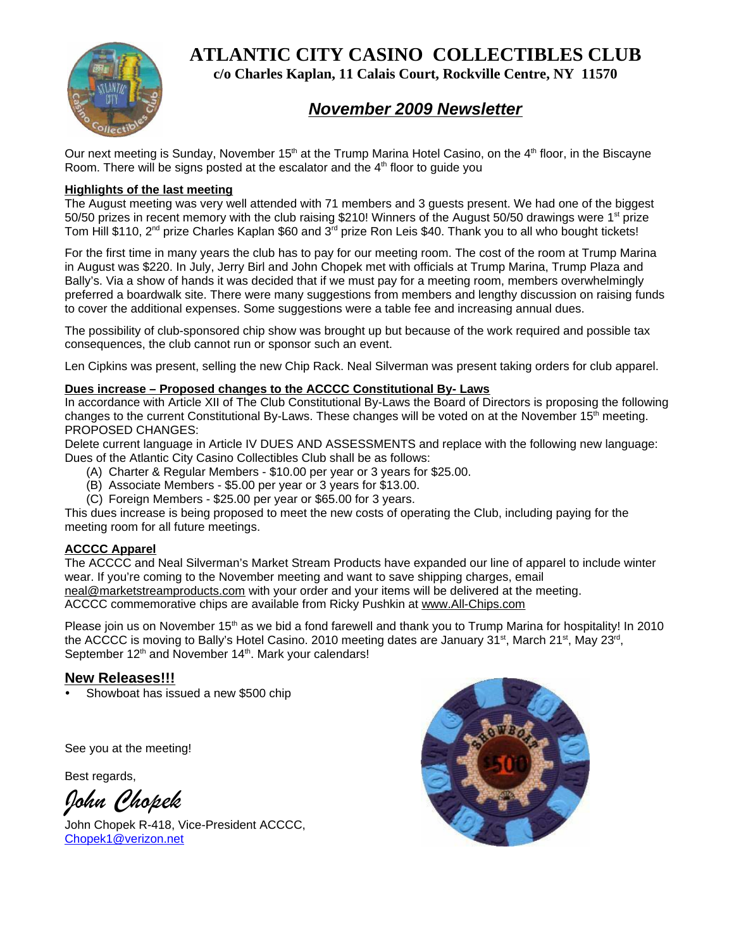# **ATLANTIC CITY CASINO COLLECTIBLES CLUB**



**c/o Charles Kaplan, 11 Calais Court, Rockville Centre, NY 11570**

## *November 2009 Newsletter*

Our next meeting is Sunday, November 15<sup>th</sup> at the Trump Marina Hotel Casino, on the 4<sup>th</sup> floor, in the Biscayne Room. There will be signs posted at the escalator and the  $4<sup>th</sup>$  floor to guide you

#### **Highlights of the last meeting**

The August meeting was very well attended with 71 members and 3 guests present. We had one of the biggest 50/50 prizes in recent memory with the club raising \$210! Winners of the August 50/50 drawings were 1<sup>st</sup> prize Tom Hill \$110, 2<sup>nd</sup> prize Charles Kaplan \$60 and 3<sup>rd</sup> prize Ron Leis \$40. Thank you to all who bought tickets!

For the first time in many years the club has to pay for our meeting room. The cost of the room at Trump Marina in August was \$220. In July, Jerry Birl and John Chopek met with officials at Trump Marina, Trump Plaza and Bally's. Via a show of hands it was decided that if we must pay for a meeting room, members overwhelmingly preferred a boardwalk site. There were many suggestions from members and lengthy discussion on raising funds to cover the additional expenses. Some suggestions were a table fee and increasing annual dues.

The possibility of club-sponsored chip show was brought up but because of the work required and possible tax consequences, the club cannot run or sponsor such an event.

Len Cipkins was present, selling the new Chip Rack. Neal Silverman was present taking orders for club apparel.

#### **Dues increase – Proposed changes to the ACCCC Constitutional By- Laws**

In accordance with Article XII of The Club Constitutional By-Laws the Board of Directors is proposing the following changes to the current Constitutional By-Laws. These changes will be voted on at the November  $15<sup>th</sup>$  meeting. PROPOSED CHANGES:

Delete current language in Article IV DUES AND ASSESSMENTS and replace with the following new language: Dues of the Atlantic City Casino Collectibles Club shall be as follows:

- (A) Charter & Regular Members \$10.00 per year or 3 years for \$25.00.
- (B) Associate Members \$5.00 per year or 3 years for \$13.00.
- (C) Foreign Members \$25.00 per year or \$65.00 for 3 years.

This dues increase is being proposed to meet the new costs of operating the Club, including paying for the meeting room for all future meetings.

#### **ACCCC Apparel**

The ACCCC and Neal Silverman's Market Stream Products have expanded our line of apparel to include winter wear. If you're coming to the November meeting and want to save shipping charges, email neal@marketstreamproducts.com with your order and your items will be delivered at the meeting. ACCCC commemorative chips are available from Ricky Pushkin at www.All-Chips.com

Please join us on November 15<sup>th</sup> as we bid a fond farewell and thank you to Trump Marina for hospitality! In 2010 the ACCCC is moving to Bally's Hotel Casino. 2010 meeting dates are January 31<sup>st</sup>, March 21<sup>st</sup>, May 23<sup>rd</sup>, September 12<sup>th</sup> and November 14<sup>th</sup>. Mark your calendars!

### **New Releases!!!**

Showboat has issued a new \$500 chip

See you at the meeting!

Best regards,

*John Chopek*

John Chopek R-418, Vice-President ACCCC, Chopek1@verizon.net